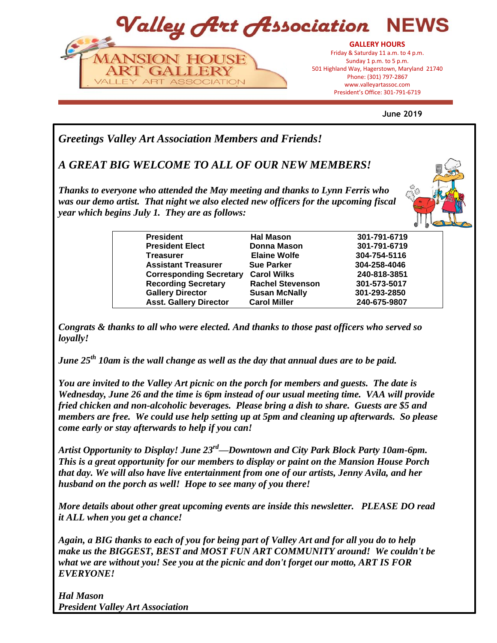

**June 2019**

*Greetings Valley Art Association Members and Friends!* 

*A GREAT BIG WELCOME TO ALL OF OUR NEW MEMBERS!* 

*Thanks to everyone who attended the May meeting and thanks to Lynn Ferris who*  was our demo artist. That night we also elected new officers for the upcoming fiscal *year which begins July 1. They are as follows:*



| <b>President</b>               | <b>Hal Mason</b>        | 301-791-6719 |
|--------------------------------|-------------------------|--------------|
| <b>President Elect</b>         | <b>Donna Mason</b>      | 301-791-6719 |
| <b>Treasurer</b>               | <b>Elaine Wolfe</b>     | 304-754-5116 |
| <b>Assistant Treasurer</b>     | <b>Sue Parker</b>       | 304-258-4046 |
| <b>Corresponding Secretary</b> | <b>Carol Wilks</b>      | 240-818-3851 |
| <b>Recording Secretary</b>     | <b>Rachel Stevenson</b> | 301-573-5017 |
| <b>Gallery Director</b>        | <b>Susan McNally</b>    | 301-293-2850 |
| <b>Asst. Gallery Director</b>  | <b>Carol Miller</b>     | 240-675-9807 |

*Congrats & thanks to all who were elected. And thanks to those past officers who served so loyally!* 

*June 25th 10am is the wall change as well as the day that annual dues are to be paid.*

*You are invited to the Valley Art picnic on the porch for members and guests. The date is Wednesday, June 26 and the time is 6pm instead of our usual meeting time. VAA will provide fried chicken and non-alcoholic beverages. Please bring a dish to share. Guests are \$5 and members are free. We could use help setting up at 5pm and cleaning up afterwards. So please come early or stay afterwards to help if you can!*

*Artist Opportunity to Display! June 23rd—Downtown and City Park Block Party 10am-6pm. This is a great opportunity for our members to display or paint on the Mansion House Porch that day. We will also have live entertainment from one of our artists, Jenny Avila, and her husband on the porch as well! Hope to see many of you there!*

*More details about other great upcoming events are inside this newsletter. PLEASE DO read it ALL when you get a chance!* 

*Again, a BIG thanks to each of you for being part of Valley Art and for all you do to help make us the BIGGEST, BEST and MOST FUN ART COMMUNITY around! We couldn't be what we are without you! See you at the picnic and don't forget our motto, ART IS FOR EVERYONE!*

*Hal Mason President Valley Art Association*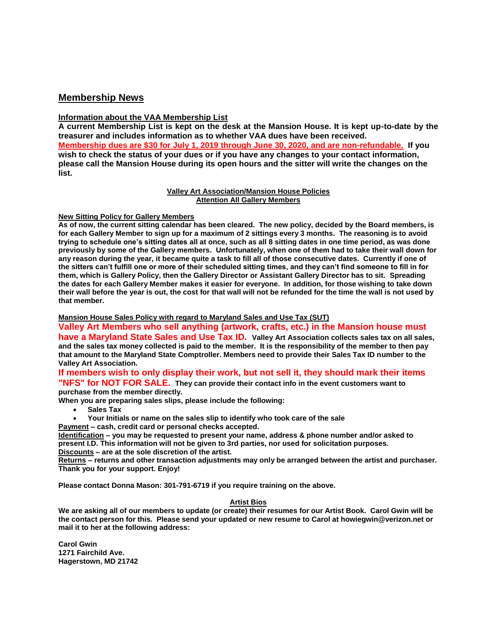## **Membership News**

#### **Information about the VAA Membership List**

**A current Membership List is kept on the desk at the Mansion House. It is kept up-to-date by the treasurer and includes information as to whether VAA dues have been received. Membership dues are \$30 for July 1, 2019 through June 30, 2020, and are non-refundable. If you wish to check the status of your dues or if you have any changes to your contact information, please call the Mansion House during its open hours and the sitter will write the changes on the list.**

#### **Valley Art Association/Mansion House Policies Attention All Gallery Members**

#### **New Sitting Policy for Gallery Members**

**As of now, the current sitting calendar has been cleared. The new policy, decided by the Board members, is for each Gallery Member to sign up for a maximum of 2 sittings every 3 months. The reasoning is to avoid trying to schedule one's sitting dates all at once, such as all 8 sitting dates in one time period, as was done previously by some of the Gallery members. Unfortunately, when one of them had to take their wall down for any reason during the year, it became quite a task to fill all of those consecutive dates. Currently if one of the sitters can't fulfill one or more of their scheduled sitting times, and they can't find someone to fill in for them, which is Gallery Policy, then the Gallery Director or Assistant Gallery Director has to sit. Spreading the dates for each Gallery Member makes it easier for everyone. In addition, for those wishing to take down their wall before the year is out, the cost for that wall will not be refunded for the time the wall is not used by that member.**

#### **Mansion House Sales Policy with regard to Maryland Sales and Use Tax (SUT)**

**Valley Art Members who sell anything (artwork, crafts, etc.) in the Mansion house must have a Maryland State Sales and Use Tax ID. Valley Art Association collects sales tax on all sales, and the sales tax money collected is paid to the member. It is the responsibility of the member to then pay that amount to the Maryland State Comptroller. Members need to provide their Sales Tax ID number to the Valley Art Association.** 

### **If members wish to only display their work, but not sell it, they should mark their items "NFS" for NOT FOR SALE. They can provide their contact info in the event customers want to**

**purchase from the member directly.** 

- **When you are preparing sales slips, please include the following:**
	- **Sales Tax**
	- **Your Initials or name on the sales slip to identify who took care of the sale**
- **Payment – cash, credit card or personal checks accepted.**

**Identification – you may be requested to present your name, address & phone number and/or asked to present I.D. This information will not be given to 3rd parties, nor used for solicitation purposes. Discounts – are at the sole discretion of the artist.**

**Returns – returns and other transaction adjustments may only be arranged between the artist and purchaser. Thank you for your support. Enjoy!**

**Please contact Donna Mason: 301-791-6719 if you require training on the above.**

#### **Artist Bios**

**We are asking all of our members to update (or create) their resumes for our Artist Book. Carol Gwin will be the contact person for this. Please send your updated or new resume to Carol at howiegwin@verizon.net or mail it to her at the following address:**

**Carol Gwin 1271 Fairchild Ave. Hagerstown, MD 21742**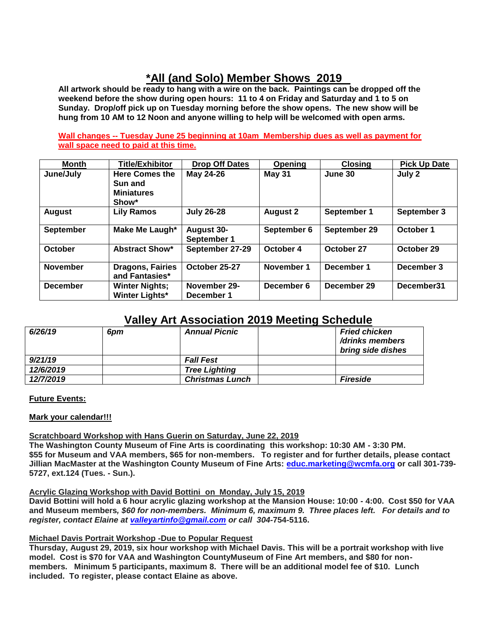# **\*All (and Solo) Member Shows 2019**

**All artwork should be ready to hang with a wire on the back. Paintings can be dropped off the weekend before the show during open hours: 11 to 4 on Friday and Saturday and 1 to 5 on Sunday. Drop/off pick up on Tuesday morning before the show opens. The new show will be hung from 10 AM to 12 Noon and anyone willing to help will be welcomed with open arms.** 

**Wall changes -- Tuesday June 25 beginning at 10am Membership dues as well as payment for wall space need to paid at this time.**

| <b>Month</b>     | <b>Title/Exhibitor</b>                                         | Drop Off Dates                   | Opening         | <b>Closing</b> | <b>Pick Up Date</b> |
|------------------|----------------------------------------------------------------|----------------------------------|-----------------|----------------|---------------------|
| June/July        | <b>Here Comes the</b><br>Sun and<br><b>Miniatures</b><br>Show* | May 24-26                        | May 31          | June 30        | July 2              |
| <b>August</b>    | <b>Lily Ramos</b>                                              | <b>July 26-28</b>                | <b>August 2</b> | September 1    | September 3         |
| <b>September</b> | Make Me Laugh*                                                 | <b>August 30-</b><br>September 1 | September 6     | September 29   | October 1           |
| October          | <b>Abstract Show*</b>                                          | September 27-29                  | October 4       | October 27     | October 29          |
| <b>November</b>  | <b>Dragons, Fairies</b><br>and Fantasies*                      | October 25-27                    | November 1      | December 1     | December 3          |
| <b>December</b>  | <b>Winter Nights:</b><br><b>Winter Lights*</b>                 | November 29-<br>December 1       | December 6      | December 29    | December31          |

## **Valley Art Association 2019 Meeting Schedule**

| 6/26/19   | 6pm | <b>Annual Picnic</b>   | <b>Fried chicken</b><br>/drinks members<br>bring side dishes |
|-----------|-----|------------------------|--------------------------------------------------------------|
| 9/21/19   |     | <b>Fall Fest</b>       |                                                              |
| 12/6/2019 |     | <b>Tree Lighting</b>   |                                                              |
| 12/7/2019 |     | <b>Christmas Lunch</b> | <b>Fireside</b>                                              |

#### **Future Events:**

#### **Mark your calendar!!!**

#### **Scratchboard Workshop with Hans Guerin on Saturday, June 22, 2019**

**The Washington County Museum of Fine Arts is coordinating this workshop: 10:30 AM - 3:30 PM. \$55 for Museum and VAA members, \$65 for non-members.****To register and for further details, please contact Jillian MacMaster at the Washington County Museum of Fine Arts: [educ.marketing@wcmfa.org](mailto:educ.marketing@wcmfa.org) or call 301-739- 5727, ext.124 (Tues. - Sun.).**

#### **Acrylic Glazing Workshop with David Bottini on Monday, July 15, 2019**

**David Bottini will hold a 6 hour acrylic glazing workshop at the Mansion House: 10:00 - 4:00. Cost \$50 for VAA and Museum members***, \$60 for non-members. Minimum 6, maximum 9. Three places left. For details and to register, contact Elaine at [valleyartinfo@gmail.com](mailto:valleyartinfo@gmail.com) or call 304-***754-5116.**

#### **Michael Davis Portrait Workshop -Due to Popular Request**

**Thursday, August 29, 2019, six hour workshop with Michael Davis. This will be a portrait workshop with live model. Cost is \$70 for VAA and Washington CountyMuseum of Fine Art members, and \$80 for nonmembers. Minimum 5 participants, maximum 8. There will be an additional model fee of \$10. Lunch included. To register, please contact Elaine as above.**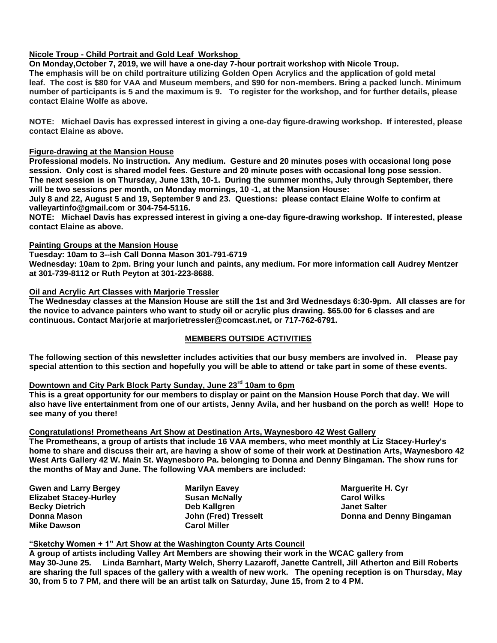#### **Nicole Troup - Child Portrait and Gold Leaf Workshop**

**On Monday,October 7, 2019, we will have a one-day 7-hour portrait workshop with Nicole Troup. The emphasis will be on child portraiture utilizing Golden Open Acrylics and the application of gold metal leaf. The cost is \$80 for VAA and Museum members, and \$90 for non-members. Bring a packed lunch. Minimum number of participants is 5 and the maximum is 9. To register for the workshop, and for further details, please contact Elaine Wolfe as above.**

**NOTE: Michael Davis has expressed interest in giving a one-day figure-drawing workshop. If interested, please contact Elaine as above.**

#### **Figure-drawing at the Mansion House**

**Professional models. No instruction. Any medium. Gesture and 20 minutes poses with occasional long pose session. Only cost is shared model fees. Gesture and 20 minute poses with occasional long pose session. The next session is on Thursday, June 13th, 10-1. During the summer months, July through September, there will be two sessions per month, on Monday mornings, 10 -1, at the Mansion House:** 

**July 8 and 22, August 5 and 19, September 9 and 23. Questions: please contact Elaine Wolfe to confirm at valleyartinfo@gmail.com or 304-754-5116.**

**NOTE: Michael Davis has expressed interest in giving a one-day figure-drawing workshop. If interested, please contact Elaine as above.**

#### **Painting Groups at the Mansion House**

**Tuesday: 10am to 3--ish Call Donna Mason 301-791-6719**

**Wednesday: 10am to 2pm. Bring your lunch and paints, any medium. For more information call Audrey Mentzer at 301-739-8112 or Ruth Peyton at 301-223-8688.**

#### **Oil and Acrylic Art Classes with Marjorie Tressler**

**The Wednesday classes at the Mansion House are still the 1st and 3rd Wednesdays 6:30-9pm. All classes are for the novice to advance painters who want to study oil or acrylic plus drawing. \$65.00 for 6 classes and are continuous. Contact Marjorie at marjorietressler@comcast.net, or 717-762-6791.**

#### **MEMBERS OUTSIDE ACTIVITIES**

**The following section of this newsletter includes activities that our busy members are involved in. Please pay special attention to this section and hopefully you will be able to attend or take part in some of these events.**

## **Downtown and City Park Block Party Sunday, June 23rd 10am to 6pm**

**This is a great opportunity for our members to display or paint on the Mansion House Porch that day. We will also have live entertainment from one of our artists, Jenny Avila, and her husband on the porch as well! Hope to see many of you there!**

#### **Congratulations! Prometheans Art Show at Destination Arts, Waynesboro 42 West Gallery**

**The Prometheans, a group of artists that include 16 VAA members, who meet monthly at Liz Stacey-Hurley's home to share and discuss their art, are having a show of some of their work at Destination Arts, Waynesboro 42 West Arts Gallery 42 W. Main St. Waynesboro Pa. belonging to Donna and Denny Bingaman. The show runs for the months of May and June. The following VAA members are included:**

**Gwen and Larry Bergey Elizabet Stacey-Hurley Becky Dietrich Donna Mason Mike Dawson**

**Marilyn Eavey Susan McNally Deb Kallgren John (Fred) Tresselt Carol Miller**

**Marguerite H. Cyr Carol Wilks Janet Salter Donna and Denny Bingaman**

#### **"Sketchy Women + 1" Art Show at the Washington County Arts Council**

**A group of artists including Valley Art Members are showing their work in the WCAC gallery from May 30-June 25. Linda Barnhart, Marty Welch, Sherry Lazaroff, Janette Cantrell, Jill Atherton and Bill Roberts are sharing the full spaces of the gallery with a wealth of new work. The opening reception is on Thursday, May 30, from 5 to 7 PM, and there will be an artist talk on Saturday, June 15, from 2 to 4 PM.**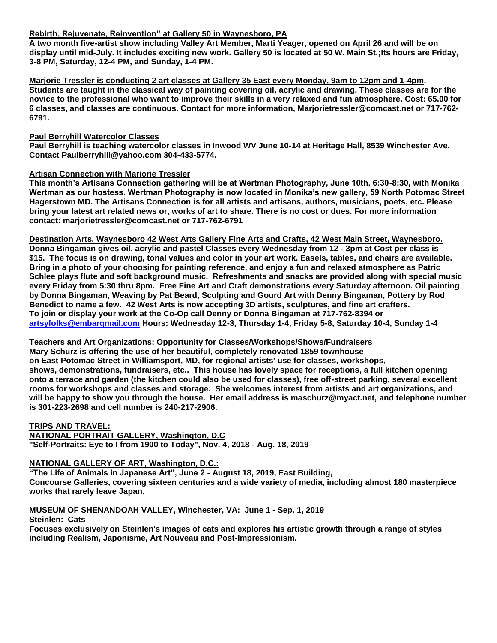#### **Rebirth, Rejuvenate, Reinvention" at Gallery 50 in Waynesboro, PA**

**A two month five-artist show including Valley Art Member, Marti Yeager, opened on April 26 and will be on display until mid-July. It includes exciting new work. Gallery 50 is located at 50 W. Main St.;Its hours are Friday, 3-8 PM, Saturday, 12-4 PM, and Sunday, 1-4 PM.**

**Marjorie Tressler is conducting 2 art classes at Gallery 35 East every Monday, 9am to 12pm and 1-4pm. Students are taught in the classical way of painting covering oil, acrylic and drawing. These classes are for the novice to the professional who want to improve their skills in a very relaxed and fun atmosphere. Cost: 65.00 for 6 classes, and classes are continuous. Contact for more information, Marjorietressler@comcast.net or 717-762- 6791.** 

#### **Paul Berryhill Watercolor Classes**

**Paul Berryhill is teaching watercolor classes in Inwood WV June 10-14 at Heritage Hall, 8539 Winchester Ave. Contact Paulberryhill@yahoo.com 304-433-5774.**

#### **Artisan Connection with Marjorie Tressler**

**This month's Artisans Connection gathering will be at Wertman Photography, June 10th, 6:30-8:30, with Monika Wertman as our hostess. Wertman Photography is now located in Monika's new gallery, 59 North Potomac Street Hagerstown MD. The Artisans Connection is for all artists and artisans, authors, musicians, poets, etc. Please bring your latest art related news or, works of art to share. There is no cost or dues. For more information contact: marjorietressler@comcast.net or 717-762-6791**

**Destination Arts, Waynesboro 42 West Arts Gallery Fine Arts and Crafts, 42 West Main Street, Waynesboro. Donna Bingaman gives oil, acrylic and pastel Classes every Wednesday from 12 - 3pm at Cost per class is \$15. The focus is on drawing, tonal values and color in your art work. Easels, tables, and chairs are available. Bring in a photo of your choosing for painting reference, and enjoy a fun and relaxed atmosphere as Patric Schlee plays flute and soft background music. Refreshments and snacks are provided along with special music every Friday from 5:30 thru 8pm. Free Fine Art and Craft demonstrations every Saturday afternoon. Oil painting by Donna Bingaman, Weaving by Pat Beard, Sculpting and Gourd Art with Denny Bingaman, Pottery by Rod Benedict to name a few. 42 West Arts is now accepting 3D artists, sculptures, and fine art crafters. To join or display your work at the Co-Op call Denny or Donna Bingaman at 717-762-8394 or [artsyfolks@embarqmail.com](mailto:artsyfolks@embarqmail.com) Hours: Wednesday 12-3, Thursday 1-4, Friday 5-8, Saturday 10-4, Sunday 1-4**

#### **Teachers and Art Organizations: Opportunity for Classes/Workshops/Shows/Fundraisers**

**Mary Schurz is offering the use of her beautiful, completely renovated 1859 townhouse on East Potomac Street in Williamsport, MD, for regional artists' use for classes, workshops, shows, demonstrations, fundraisers, etc.. This house has lovely space for receptions, a full kitchen opening onto a terrace and garden (the kitchen could also be used for classes), free off-street parking, several excellent rooms for workshops and classes and storage. She welcomes interest from artists and art organizations, and will be happy to show you through the house. Her email address is maschurz@myact.net, and telephone number is 301-223-2698 and cell number is 240-217-2906.**

**TRIPS AND TRAVEL: NATIONAL PORTRAIT GALLERY, Washington, D.C "Self-Portraits: Eye to I from 1900 to Today", Nov. 4, 2018 - Aug. 18, 2019**

#### **NATIONAL GALLERY OF ART, Washington, D.C.:**

**"The Life of Animals in Japanese Art", June 2 - August 18, 2019, East Building, Concourse Galleries, covering sixteen centuries and a wide variety of media, including almost 180 masterpiece works that rarely leave Japan.**

**MUSEUM OF SHENANDOAH VALLEY, Winchester, VA: June 1 - Sep. 1, 2019**

**Steinlen: Cats Focuses exclusively on Steinlen's images of cats and explores his artistic growth through a range of styles including Realism, Japonisme, Art Nouveau and Post-Impressionism.**